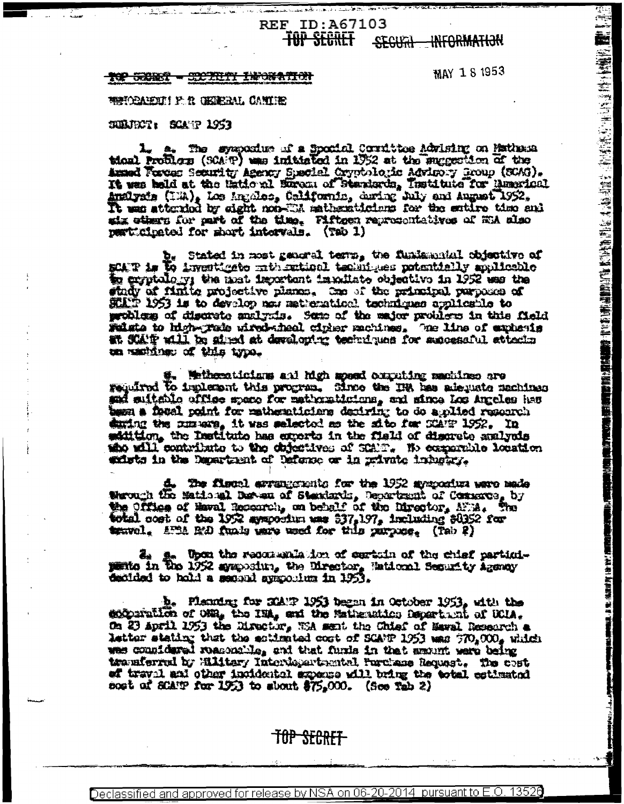## **REF ID: A67103** <del>TOP SECRET</del> SECURI INFORMATION

#### 15 TRANSSET TELEVISION 1<del>02 002 002</del>

MAY 181953

(1) 1999年,1999年,1999年,1999年,1999年,1999年,1999年,1999年,1999年,1999年,1999年,1999年,1999年,1999年,1999年,1999年,1999年,1999<br>1999年,1999年,1999年,1999年,1999年,1999年,1999年,1999年,1999年,1999年,1999年,1999年,1999年,1999年,1999年,1999年,1999年,1999年,1

**TAN AN AN ORIGINAL PROPERTY** 

WENCHARDTHE F. R. GEREEML CANTIES

# SUBJECT: SOANT 1953

L. a. The sympaxium of a Sponial Corrittoe Advising on Hathesa tical Problem (SCAP) was initiated in 1952 at the succestion of the Armed Forces Scanfity Agency Special Cryptologic Advisory Group (SCAG). It was held at the Hational Europa of Standards, Institute for Munerical Amelysis (1:4), Los Ingoles, California, during July and August 1952. six others for part of the time. Fifteen representatives of WiA also perticipated for short intervals. (Tab 1)

b. Stated in most general term, the fundamental objective of mCAP is the investigate mathematical techniques potentially spliceble to exptalogy the mat important impollate objective in 1952 was the stady of finite projective planes. One of the principal purposes of SCATP 1953 is to develop now matternticel techniques applicable to problem of discrete analyzis. Some of the major problem in this field water of discrete problem and the major problem in this field at SCATP will be gired at developter techniques for assocasful attacks on machines of this type.

Wetheraticians and high speed computing sections are required to implement this progres. Since the IR has adequate machines and suitable office space for mathematicians, and since Los Angeles has town a foral point for matternticians depiring to do applied resourch during the numbers, it was selected as the site for SCATP 1952. In satition, the Institute has experts in the field of discrete analysis she will contribute to the chiestives of SCAND. We comparable location whists in the Department of Defense or in private industry.

d. The fiscal arrangements for the 1952 apapositra wave made Werough the Maticust Bureau of Standards, Department of Commons, by the Office of Haval Recourch, on behalf of the Director, AFM. The total cost of the 1952 symportun was 337,197, including \$0352 for travel. APM R/D funly wave used for this purpose. (Tab 2)

3. Toon the reconsulation of certain of the chief particuldecided to hold a second speciolius in 1953.

b. Planning for StATP 1953 began in October 1953, with the deconvation of ONR, the INA, and the Mathematics Department of UCIA. On 23 april 1953 the Director, WA ment the Chief of Mawal Research a letter stating that the sotimated cost of SCANP 1953 was 370,000, which was counidared reasonable, and that furthe in that moont were being transferred by Hilitary Interdepartmental Purchase Request. The cost of traval and other incidental superse will bring the total cetimated sort of SCATP for 1953 to shout \$75,000. (See Tab 2)

# TOP SECRET